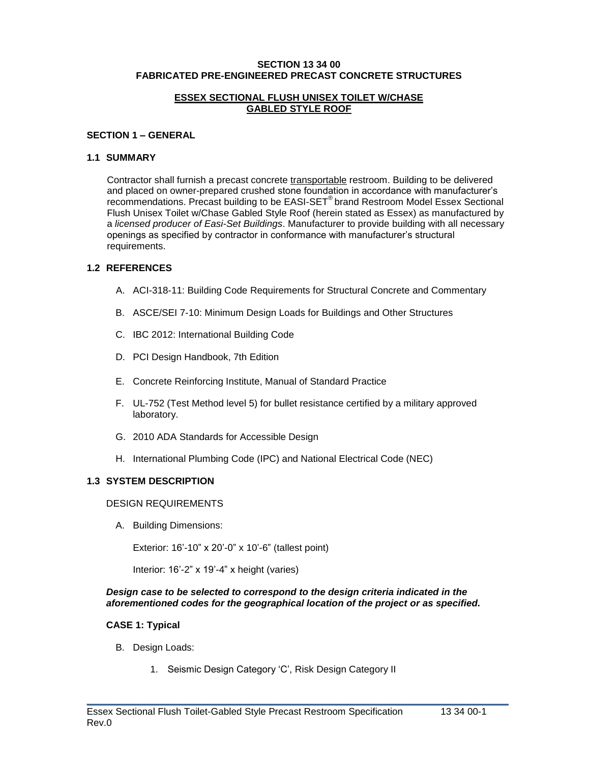#### **SECTION 13 34 00 FABRICATED PRE-ENGINEERED PRECAST CONCRETE STRUCTURES**

#### **ESSEX SECTIONAL FLUSH UNISEX TOILET W/CHASE GABLED STYLE ROOF**

#### **SECTION 1 – GENERAL**

#### **1.1 SUMMARY**

Contractor shall furnish a precast concrete transportable restroom. Building to be delivered and placed on owner-prepared crushed stone foundation in accordance with manufacturer's recommendations. Precast building to be EASI-SET® brand Restroom Model Essex Sectional Flush Unisex Toilet w/Chase Gabled Style Roof (herein stated as Essex) as manufactured by a *licensed producer of Easi-Set Buildings*. Manufacturer to provide building with all necessary openings as specified by contractor in conformance with manufacturer's structural requirements.

### **1.2 REFERENCES**

- A. ACI-318-11: Building Code Requirements for Structural Concrete and Commentary
- B. ASCE/SEI 7-10: Minimum Design Loads for Buildings and Other Structures
- C. IBC 2012: International Building Code
- D. PCI Design Handbook, 7th Edition
- E. Concrete Reinforcing Institute, Manual of Standard Practice
- F. UL-752 (Test Method level 5) for bullet resistance certified by a military approved laboratory.
- G. 2010 ADA Standards for Accessible Design
- H. International Plumbing Code (IPC) and National Electrical Code (NEC)

### **1.3 SYSTEM DESCRIPTION**

### DESIGN REQUIREMENTS

A. Building Dimensions:

Exterior: 16'-10" x 20'-0" x 10'-6" (tallest point)

Interior: 16'-2" x 19'-4" x height (varies)

#### *Design case to be selected to correspond to the design criteria indicated in the aforementioned codes for the geographical location of the project or as specified.*

 $\_$  , and the set of the set of the set of the set of the set of the set of the set of the set of the set of the set of the set of the set of the set of the set of the set of the set of the set of the set of the set of th

### **CASE 1: Typical**

- B. Design Loads:
	- 1. Seismic Design Category 'C', Risk Design Category II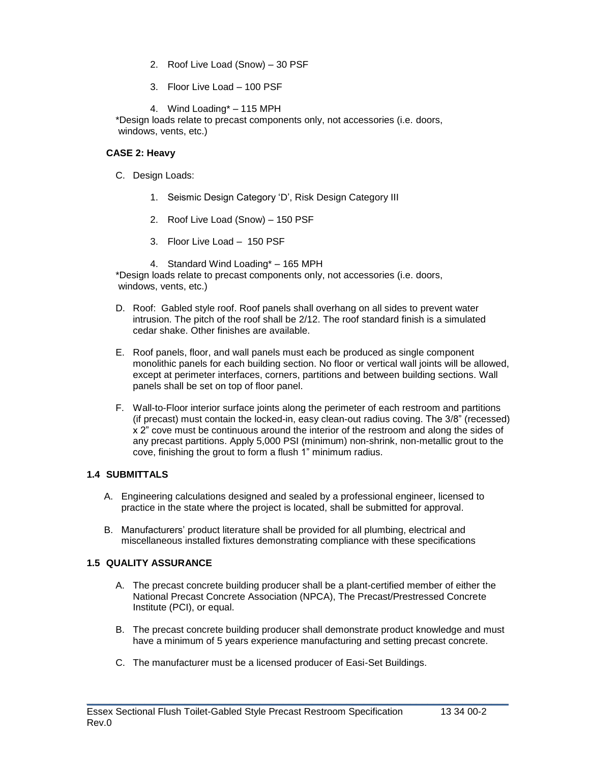- 2. Roof Live Load (Snow) 30 PSF
- 3. Floor Live Load 100 PSF
- 4. Wind Loading\* 115 MPH

\*Design loads relate to precast components only, not accessories (i.e. doors, windows, vents, etc.)

## **CASE 2: Heavy**

- C. Design Loads:
	- 1. Seismic Design Category 'D', Risk Design Category III
	- 2. Roof Live Load (Snow) 150 PSF
	- 3. Floor Live Load 150 PSF
	- 4. Standard Wind Loading\* 165 MPH

\*Design loads relate to precast components only, not accessories (i.e. doors, windows, vents, etc.)

- D. Roof: Gabled style roof. Roof panels shall overhang on all sides to prevent water intrusion. The pitch of the roof shall be 2/12. The roof standard finish is a simulated cedar shake. Other finishes are available.
- E. Roof panels, floor, and wall panels must each be produced as single component monolithic panels for each building section. No floor or vertical wall joints will be allowed, except at perimeter interfaces, corners, partitions and between building sections. Wall panels shall be set on top of floor panel.
- F. Wall-to-Floor interior surface joints along the perimeter of each restroom and partitions (if precast) must contain the locked-in, easy clean-out radius coving. The 3/8" (recessed) x 2" cove must be continuous around the interior of the restroom and along the sides of any precast partitions. Apply 5,000 PSI (minimum) non-shrink, non-metallic grout to the cove, finishing the grout to form a flush 1" minimum radius.

# **1.4 SUBMITTALS**

- A. Engineering calculations designed and sealed by a professional engineer, licensed to practice in the state where the project is located, shall be submitted for approval.
- B. Manufacturers' product literature shall be provided for all plumbing, electrical and miscellaneous installed fixtures demonstrating compliance with these specifications

### **1.5 QUALITY ASSURANCE**

- A. The precast concrete building producer shall be a plant-certified member of either the National Precast Concrete Association (NPCA), The Precast/Prestressed Concrete Institute (PCI), or equal.
- B. The precast concrete building producer shall demonstrate product knowledge and must have a minimum of 5 years experience manufacturing and setting precast concrete.

 $\_$  , and the set of the set of the set of the set of the set of the set of the set of the set of the set of the set of the set of the set of the set of the set of the set of the set of the set of the set of the set of th

C. The manufacturer must be a licensed producer of Easi-Set Buildings.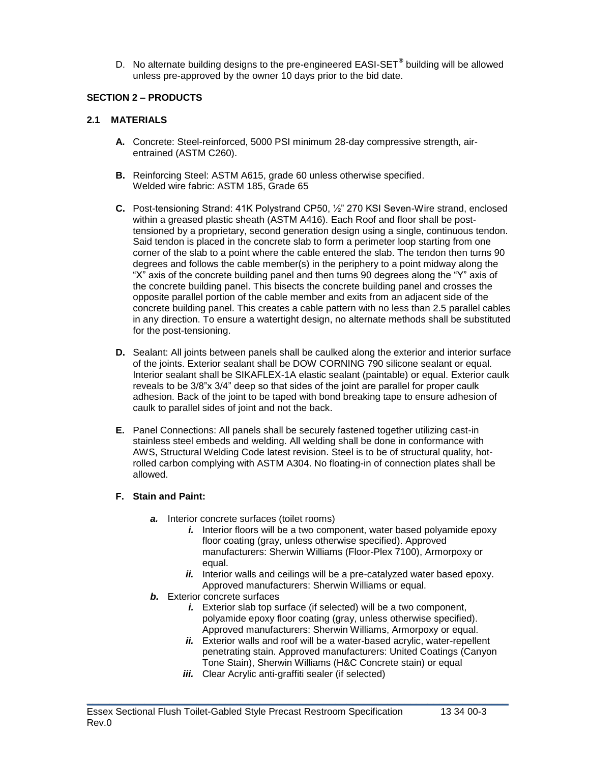D. No alternate building designs to the pre-engineered EASI-SET**®** building will be allowed unless pre-approved by the owner 10 days prior to the bid date.

### **SECTION 2 – PRODUCTS**

#### **2.1 MATERIALS**

- **A.** Concrete: Steel-reinforced, 5000 PSI minimum 28-day compressive strength, airentrained (ASTM C260).
- **B.** Reinforcing Steel: ASTM A615, grade 60 unless otherwise specified. Welded wire fabric: ASTM 185, Grade 65
- **C.** Post-tensioning Strand: 41K Polystrand CP50, ½" 270 KSI Seven-Wire strand, enclosed within a greased plastic sheath (ASTM A416). Each Roof and floor shall be posttensioned by a proprietary, second generation design using a single, continuous tendon. Said tendon is placed in the concrete slab to form a perimeter loop starting from one corner of the slab to a point where the cable entered the slab. The tendon then turns 90 degrees and follows the cable member(s) in the periphery to a point midway along the "X" axis of the concrete building panel and then turns 90 degrees along the "Y" axis of the concrete building panel. This bisects the concrete building panel and crosses the opposite parallel portion of the cable member and exits from an adjacent side of the concrete building panel. This creates a cable pattern with no less than 2.5 parallel cables in any direction. To ensure a watertight design, no alternate methods shall be substituted for the post-tensioning.
- **D.** Sealant: All joints between panels shall be caulked along the exterior and interior surface of the joints. Exterior sealant shall be DOW CORNING 790 silicone sealant or equal. Interior sealant shall be SIKAFLEX-1A elastic sealant (paintable) or equal. Exterior caulk reveals to be 3/8"x 3/4" deep so that sides of the joint are parallel for proper caulk adhesion. Back of the joint to be taped with bond breaking tape to ensure adhesion of caulk to parallel sides of joint and not the back.
- **E.** Panel Connections: All panels shall be securely fastened together utilizing cast-in stainless steel embeds and welding. All welding shall be done in conformance with AWS, Structural Welding Code latest revision. Steel is to be of structural quality, hotrolled carbon complying with ASTM A304. No floating-in of connection plates shall be allowed.

#### **F. Stain and Paint:**

- *a.* Interior concrete surfaces (toilet rooms)
	- *i.* Interior floors will be a two component, water based polyamide epoxy floor coating (gray, unless otherwise specified). Approved manufacturers: Sherwin Williams (Floor-Plex 7100), Armorpoxy or equal.
	- *ii.* Interior walls and ceilings will be a pre-catalyzed water based epoxy. Approved manufacturers: Sherwin Williams or equal.
- *b.* Exterior concrete surfaces
	- *i.* Exterior slab top surface (if selected) will be a two component, polyamide epoxy floor coating (gray, unless otherwise specified). Approved manufacturers: Sherwin Williams, Armorpoxy or equal.
	- *ii.* Exterior walls and roof will be a water-based acrylic, water-repellent penetrating stain. Approved manufacturers: United Coatings (Canyon Tone Stain), Sherwin Williams (H&C Concrete stain) or equal
	- *iii.* Clear Acrylic anti-graffiti sealer (if selected)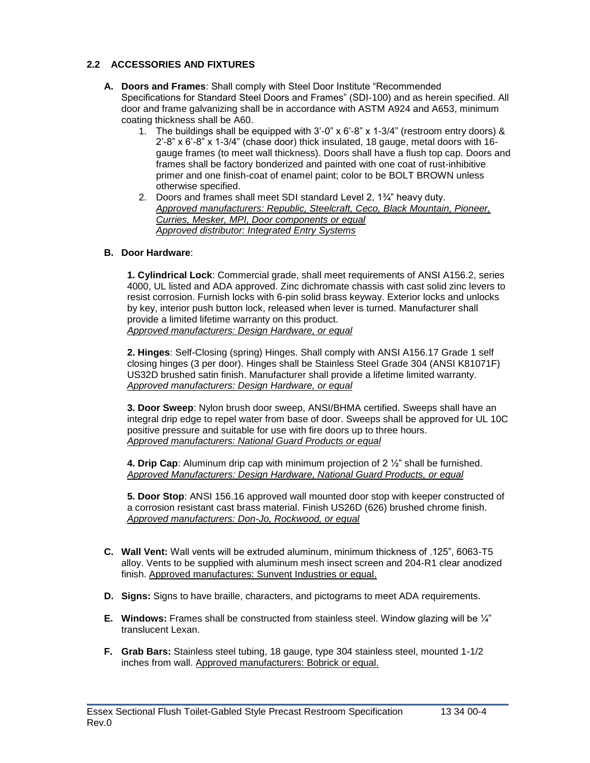# **2.2 ACCESSORIES AND FIXTURES**

- **A. Doors and Frames**: Shall comply with Steel Door Institute "Recommended Specifications for Standard Steel Doors and Frames" (SDI-100) and as herein specified. All door and frame galvanizing shall be in accordance with ASTM A924 and A653, minimum coating thickness shall be A60.
	- 1. The buildings shall be equipped with 3'-0" x 6'-8" x 1-3/4" (restroom entry doors) &  $2^{\prime}$ -8" x 6'-8" x 1-3/4" (chase door) thick insulated, 18 gauge, metal doors with 16gauge frames (to meet wall thickness). Doors shall have a flush top cap. Doors and frames shall be factory bonderized and painted with one coat of rust-inhibitive primer and one finish-coat of enamel paint; color to be BOLT BROWN unless otherwise specified.
	- 2. Doors and frames shall meet SDI standard Level 2, 1¾" heavy duty. *Approved manufacturers: Republic, Steelcraft, Ceco, Black Mountain, Pioneer, Curries, Mesker, MPI, Door components or equal Approved distributor: Integrated Entry Systems*

### **B. Door Hardware**:

**1. Cylindrical Lock**: Commercial grade, shall meet requirements of ANSI A156.2, series 4000, UL listed and ADA approved. Zinc dichromate chassis with cast solid zinc levers to resist corrosion. Furnish locks with 6-pin solid brass keyway. Exterior locks and unlocks by key, interior push button lock, released when lever is turned. Manufacturer shall provide a limited lifetime warranty on this product. *Approved manufacturers: Design Hardware, or equal*

**2. Hinges**: Self-Closing (spring) Hinges. Shall comply with ANSI A156.17 Grade 1 self closing hinges (3 per door). Hinges shall be Stainless Steel Grade 304 (ANSI K81071F) US32D brushed satin finish. Manufacturer shall provide a lifetime limited warranty. *Approved manufacturers: Design Hardware, or equal*

**3. Door Sweep**: Nylon brush door sweep, ANSI/BHMA certified. Sweeps shall have an integral drip edge to repel water from base of door. Sweeps shall be approved for UL 10C positive pressure and suitable for use with fire doors up to three hours. *Approved manufacturers: National Guard Products or equal*

**4. Drip Cap**: Aluminum drip cap with minimum projection of 2 ½" shall be furnished. *Approved Manufacturers: Design Hardware, National Guard Products, or equal*

**5. Door Stop**: ANSI 156.16 approved wall mounted door stop with keeper constructed of a corrosion resistant cast brass material. Finish US26D (626) brushed chrome finish. *Approved manufacturers: Don-Jo, Rockwood, or equal*

- **C. Wall Vent:** Wall vents will be extruded aluminum, minimum thickness of .125", 6063-T5 alloy. Vents to be supplied with aluminum mesh insect screen and 204-R1 clear anodized finish. Approved manufactures: Sunvent Industries or equal.
- **D. Signs:** Signs to have braille, characters, and pictograms to meet ADA requirements.
- **E. Windows:** Frames shall be constructed from stainless steel. Window glazing will be ¼" translucent Lexan.
- **F. Grab Bars:** Stainless steel tubing, 18 gauge, type 304 stainless steel, mounted 1-1/2 inches from wall. Approved manufacturers: Bobrick or equal.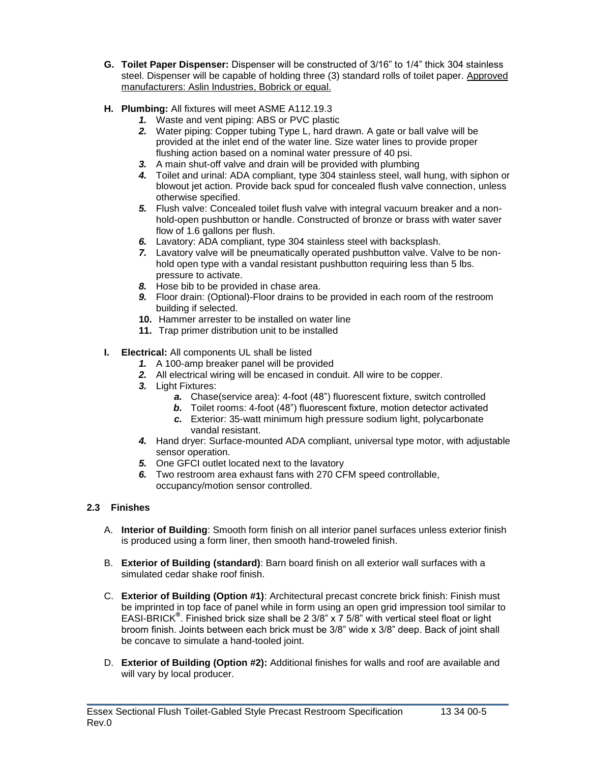- **G. Toilet Paper Dispenser:** Dispenser will be constructed of 3/16" to 1/4" thick 304 stainless steel. Dispenser will be capable of holding three (3) standard rolls of toilet paper. Approved manufacturers: Aslin Industries, Bobrick or equal.
- **H. Plumbing:** All fixtures will meet ASME A112.19.3
	- *1.* Waste and vent piping: ABS or PVC plastic
	- *2.* Water piping: Copper tubing Type L, hard drawn. A gate or ball valve will be provided at the inlet end of the water line. Size water lines to provide proper flushing action based on a nominal water pressure of 40 psi.
	- *3.* A main shut-off valve and drain will be provided with plumbing
	- *4.* Toilet and urinal: ADA compliant, type 304 stainless steel, wall hung, with siphon or blowout jet action. Provide back spud for concealed flush valve connection, unless otherwise specified.
	- *5.* Flush valve: Concealed toilet flush valve with integral vacuum breaker and a nonhold-open pushbutton or handle. Constructed of bronze or brass with water saver flow of 1.6 gallons per flush.
	- *6.* Lavatory: ADA compliant, type 304 stainless steel with backsplash.
	- *7.* Lavatory valve will be pneumatically operated pushbutton valve. Valve to be nonhold open type with a vandal resistant pushbutton requiring less than 5 lbs. pressure to activate.
	- *8.* Hose bib to be provided in chase area.
	- *9.* Floor drain: (Optional)-Floor drains to be provided in each room of the restroom building if selected.
	- **10.** Hammer arrester to be installed on water line
	- **11.** Trap primer distribution unit to be installed
- **I. Electrical:** All components UL shall be listed
	- *1.* A 100-amp breaker panel will be provided
	- *2.* All electrical wiring will be encased in conduit. All wire to be copper.
	- *3.* Light Fixtures:
		- *a.* Chase(service area): 4-foot (48") fluorescent fixture, switch controlled
		- *b.* Toilet rooms: 4-foot (48") fluorescent fixture, motion detector activated
		- *c.* Exterior: 35-watt minimum high pressure sodium light, polycarbonate vandal resistant.
	- *4.* Hand dryer: Surface-mounted ADA compliant, universal type motor, with adjustable sensor operation.
	- *5.* One GFCI outlet located next to the lavatory
	- *6.* Two restroom area exhaust fans with 270 CFM speed controllable, occupancy/motion sensor controlled.

### **2.3 Finishes**

- A. **Interior of Building**: Smooth form finish on all interior panel surfaces unless exterior finish is produced using a form liner, then smooth hand-troweled finish.
- B. **Exterior of Building (standard)**: Barn board finish on all exterior wall surfaces with a simulated cedar shake roof finish.
- C. **Exterior of Building (Option #1)**: Architectural precast concrete brick finish: Finish must be imprinted in top face of panel while in form using an open grid impression tool similar to EASI-BRICK**®** . Finished brick size shall be 2 3/8" x 7 5/8" with vertical steel float or light broom finish. Joints between each brick must be 3/8" wide x 3/8" deep. Back of joint shall be concave to simulate a hand-tooled joint.
- D. **Exterior of Building (Option #2):** Additional finishes for walls and roof are available and will vary by local producer.